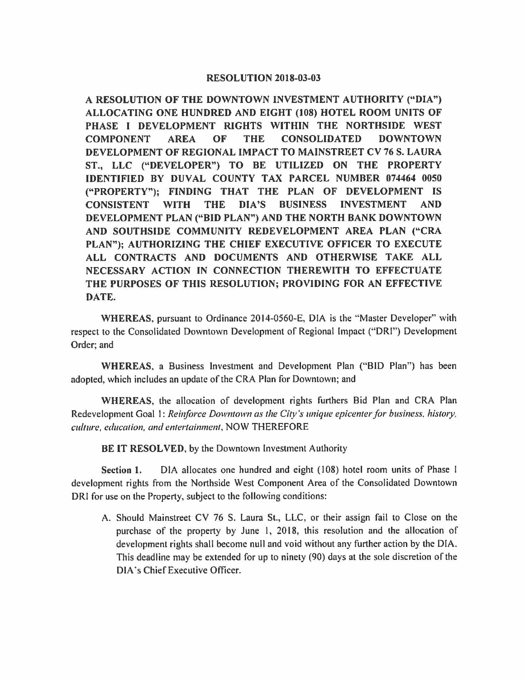## **RESOLUTION 2018-03-03**

**A RESOLUTION OF THE DOWNTOWN INVESTMENT AUTHORITY ("DIA") ALLOCATING ONE HUNDRED AND EIGHT (108) HOTEL ROOM UNITS OF PHASE** I **DEVELOPMENT RIGHTS WITHIN THE NORTHSIDE WEST COMPONENT AREA OF THE CONSOLIDATED DOWNTOWN DEVELOPMENT OF REGIONAL IMPACT TO MAINSTREET CV 76 S. LAURA ST., LLC ("DEVELOPER") TO BE UTILIZED ON THE PROPERTY IDENTIFIED BY DUVAL COUNTY TAX PARCEL NUMBER 074464** 0050 **("PROPERTY"); FINDING THAT THE PLAN OF DEVELOPMENT IS CONSISTENT WITH THE DIA'S BUSINESS INVESTMENT AND DEVELOPMENT PLAN ("BID PLAN") AND THE NORTH BANK DOWNTOWN AND SOUTHSIDE COMMUNITY REDEVELOPMENT AREA PLAN ("CRA PLAN"); AUTHORIZING THE CHIEF EXECUTIVE OFFICER TO EXECUTE ALL CONTRACTS AND DOCUMENTS AND OTHERWISE TAKE ALL NECESSARY ACTION IN CONNECTION THEREWITH TO EFFECTUATE THE PURPOSES OF THIS RESOLUTION; PROVIDING FOR AN EFFECTIVE DATE.** 

**WHEREAS,** pursuant to Ordinance 2014-0560-E, DIA is the "Master Developer" with respect to the Consolidated Downtown Development of Regional Impact ("ORI") Development Order; and

**WHEREAS,** a Business Investment and Development Plan ("BID Plan") has been adopted, which includes an update of the CRA Plan for Downtown; and

**WHEREAS,** the allocation of development rights furthers Bid Plan and CRA Plan Redevelopment Goal 1: *Reinforce Downtown as the City's unique epicenter for business, history, culture, education, and entertainment,* NOW THEREFORE

**BE IT RESOLVED,** by the Downtown Investment Authority

**Section 1.** DIA allocates one hundred and eight (108) hotel room units of Phase I development rights from the Northside West Component Area of the Consolidated Downtown ORI for use on the Property, subject to the following conditions:

A. Should Mainstreet CV 76 S. Laura St., LLC, or their assign fail to Close on the purchase of the property by June I, 2018, this resolution and the allocation of development rights shall become null and void without any further action by the DIA. This deadline may be extended for up to ninety (90) days at the sole discretion of the DIA ·s Chief Executive Officer.